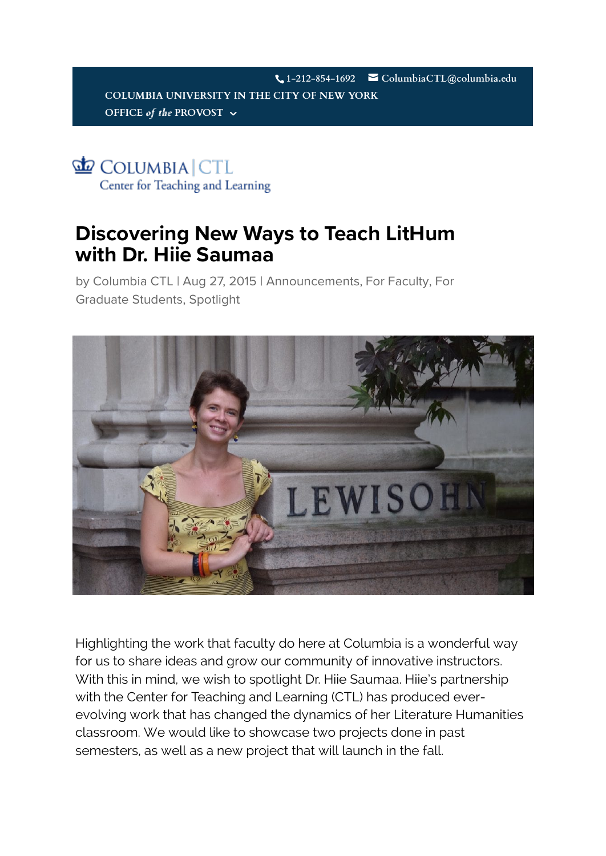**[1-212-854-1692](http://www.columbia.edu/) ColumbiaCTL@columbia.edu [COLUMBIA UNIVERSITY](http://provost.columbia.edu/) IN THE CITY OF NEW YORK OFFICE** *of* the PROVOST  $\sim$ 

COLUMBIA CTL Center for Teaching and Learning

## **Di[scovering New Ways](https://ctl.columbia.edu/) to [Teach LitHum](https://ctl.columbia.edu/resources-and-technology/)  with Dr. Hiie Saumaa**

[by](https://ctl.columbia.edu/category/for-graduate-students/) [Columbia CT](https://ctl.columbia.edu/author/columbiactl/)[L | Aug 27, 2015 | A](https://ctl.columbia.edu/category/for-graduate-students/)[nnouncement](https://ctl.columbia.edu/category/announcements/)[s,](https://ctl.columbia.edu/category/for-graduate-students/) [For Faculty](https://ctl.columbia.edu/category/for-faculty/), [For](https://ctl.columbia.edu/events/)  Graduate Students, [Spotlight](https://ctl.columbia.edu/category/spotlight/)



Highlighting the work that faculty do here at Columbia is a wonderful way for us to share ideas and grow our community of innovative instructors. With this in mind, we wish to spotlight Dr. Hiie Saumaa. Hiie's partnership with the Center for Teaching and Learning (CTL) has produced everevolving work that has changed the dynamics of her Literature Humanities classroom. We would like to showcase two projects done in past semesters, as well as a new project that will launch in the fall.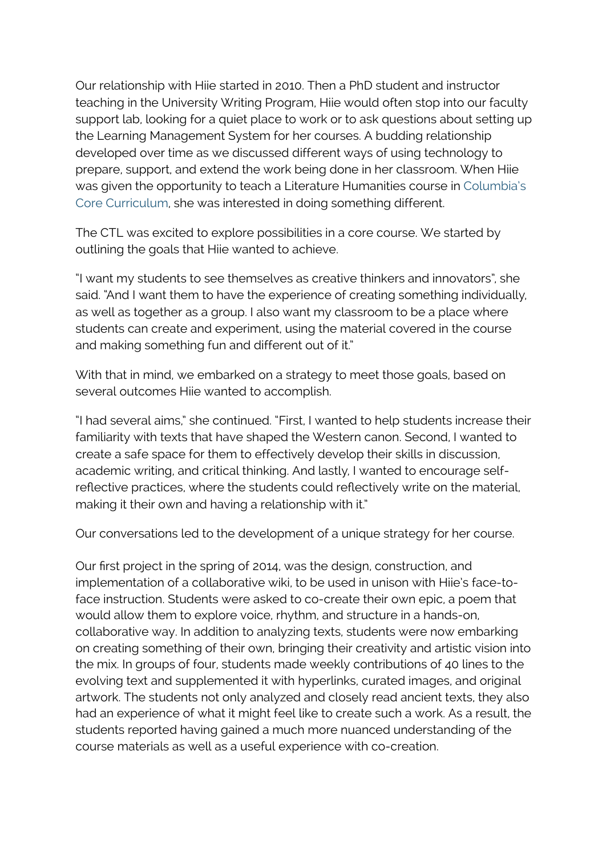Our relationship with Hiie started in 2010. Then a PhD student and instructor teaching in the University Writing Program, Hiie would often stop into our faculty support lab, looking for a quiet place to work or to ask questions about setting up the Learning Management System for her courses. A budding relationship developed over time as we discussed different ways of using technology to prepare, support, and extend the work being done in her classroom. When Hiie was given the opportunity to teach a Literature Humanities course in Columbia's Core Curriculum, she was interested in doing something different.

The CTL was excited to explore possibilities in a core course. We started by outl[ining the goals that Hiie wanted to achieve.](https://www.college.columbia.edu/core/core)

"I want my students to see themselves as creative thinkers and innovators", she said. "And I want them to have the experience of creating something individually, as well as together as a group. I also want my classroom to be a place where students can create and experiment, using the material covered in the course and making something fun and different out of it."

With that in mind, we embarked on a strategy to meet those goals, based on several outcomes Hiie wanted to accomplish.

"I had several aims," she continued. "First, I wanted to help students increase their familiarity with texts that have shaped the Western canon. Second, I wanted to create a safe space for them to effectively develop their skills in discussion, academic writing, and critical thinking. And lastly, I wanted to encourage selfreflective practices, where the students could reflectively write on the material, making it their own and having a relationship with it."

Our conversations led to the development of a unique strategy for her course.

Our first project in the spring of 2014, was the design, construction, and implementation of a collaborative wiki, to be used in unison with Hiie's face-toface instruction. Students were asked to co-create their own epic, a poem that would allow them to explore voice, rhythm, and structure in a hands-on, collaborative way. In addition to analyzing texts, students were now embarking on creating something of their own, bringing their creativity and artistic vision into the mix. In groups of four, students made weekly contributions of 40 lines to the evolving text and supplemented it with hyperlinks, curated images, and original artwork. The students not only analyzed and closely read ancient texts, they also had an experience of what it might feel like to create such a work. As a result, the students reported having gained a much more nuanced understanding of the course materials as well as a useful experience with co-creation.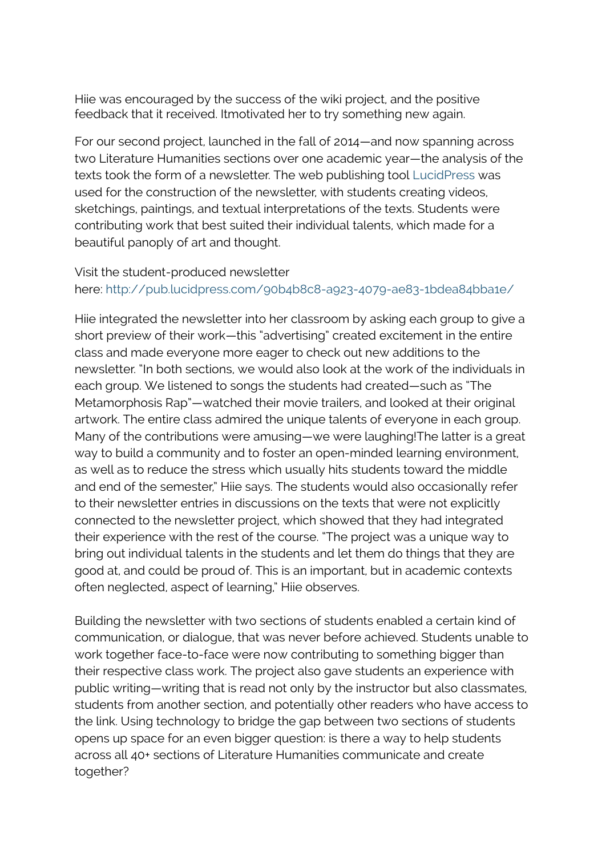Hiie was encouraged by the success of the wiki project, and the positive feedback that it received. Itmotivated her to try something new again.

For our second project, launched in the fall of 2014—and now spanning across two Literature Humanities sections over one academic year—the analysis of the texts took the form of a newsletter. The web publishing tool [LucidPress](https://www.lucidpress.com/) was used for the construction of the newsletter, with students creating videos, sketchings, paintings, and textual interpretations of the texts. Students were contributing work that best suited their individual talents, which made for a beautiful panoply of art and thought.

## Visit the student-produced newsletter her[e: http://pub.lucidpress.com/90b4b8c8-a923-407](http://pub.lucidpress.com/90b4b8c8-a923-4079-ae83-1bdea84bba1e/)9-ae83-1bdea84bba1e/

Hiie integrated the newsletter into her classroom by asking each group to give a short preview of their work—this "advertising" created excitement in the entire class and made everyone more eager to check out new additions to the newsletter. "In both sections, we would also look at the work of the individuals in each group. We listened to songs the students had created—such as "The Metamorphosis Rap"—watched their movie trailers, and looked at their original artwork. The entire class admired the unique talents of everyone in each group. Many of the contributions were amusing—we were laughing!The latter is a great way to build a community and to foster an open-minded learning environment, as well as to reduce the stress which usually hits students toward the middle and end of the semester," Hiie says. The students would also occasionally refer to their newsletter entries in discussions on the texts that were not explicitly connected to the newsletter project, which showed that they had integrated their experience with the rest of the course. "The project was a unique way to bring out individual talents in the students and let them do things that they are good at, and could be proud of. This is an important, but in academic contexts often neglected, aspect of learning," Hiie observes.

Building the newsletter with two sections of students enabled a certain kind of communication, or dialogue, that was never before achieved. Students unable to work together face-to-face were now contributing to something bigger than their respective class work. The project also gave students an experience with public writing—writing that is read not only by the instructor but also classmates, students from another section, and potentially other readers who have access to the link. Using technology to bridge the gap between two sections of students opens up space for an even bigger question: is there a way to help students across all 40+ sections of Literature Humanities communicate and create together?